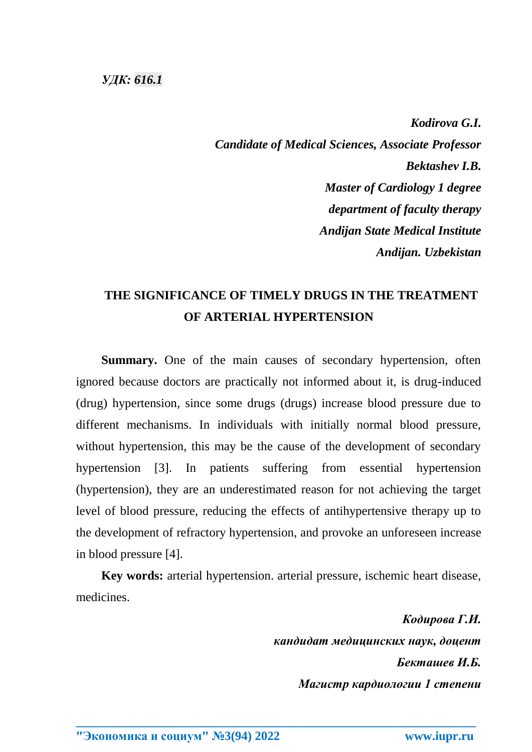## *УДК: [616.1](https://www.teacode.com/online/udc/61/616.1.html)*

*Kodirova G.I. Candidate of Medical Sciences, Associate Professor Bektashev I.B. Master of Cardiology 1 degree department of faculty therapy Andijan State Medical Institute Andijan. Uzbekistan*

## **THE SIGNIFICANCE OF TIMELY DRUGS IN THE TREATMENT OF ARTERIAL HYPERTENSION**

**Summary.** One of the main causes of secondary hypertension, often ignored because doctors are practically not informed about it, is drug-induced (drug) hypertension, since some drugs (drugs) increase blood pressure due to different mechanisms. In individuals with initially normal blood pressure, without hypertension, this may be the cause of the development of secondary hypertension [3]. In patients suffering from essential hypertension (hypertension), they are an underestimated reason for not achieving the target level of blood pressure, reducing the effects of antihypertensive therapy up to the development of refractory hypertension, and provoke an unforeseen increase in blood pressure [4].

**Key words:** arterial hypertension. arterial pressure, ischemic heart disease, medicines.

**\_\_\_\_\_\_\_\_\_\_\_\_\_\_\_\_\_\_\_\_\_\_\_\_\_\_\_\_\_\_\_\_\_\_\_\_\_\_\_\_\_\_\_\_\_\_\_\_\_\_\_\_\_\_\_\_\_\_\_\_\_\_\_\_**

*Кодирова Г.И. кандидат медицинских наук, доцент Бекташев И.Б. Магистр кардиологии 1 степени*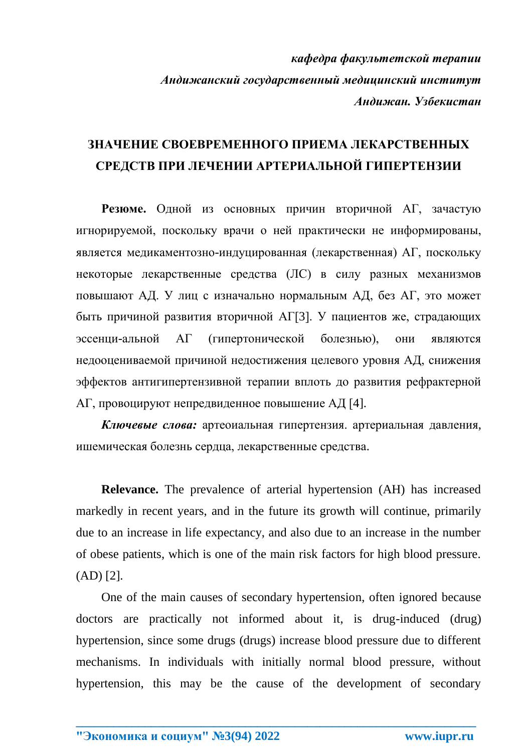*кафедра факультетской терапии Андижанский государственный медицинский институт Андижан. Узбекистан*

## **ЗНАЧЕНИЕ СВОЕВРЕМЕННОГО ПРИЕМА ЛЕКАРСТВЕННЫХ СРЕДСТВ ПРИ ЛЕЧЕНИИ АРТЕРИАЛЬНОЙ ГИПЕРТЕНЗИИ**

**Резюме.** Одной из основных причин вторичной АГ, зачастую игнорируемой, поскольку врачи о ней практически не информированы, является медикаментозно-индуцированная (лекарственная) АГ, поскольку некоторые лекарственные средства (ЛС) в силу разных механизмов повышают АД. У лиц с изначально нормальным АД, без АГ, это может быть причиной развития вторичной АГ[3]. У пациентов же, страдающих эссенци-альной АГ (гипертонической болезнью), они являются недооцениваемой причиной недостижения целевого уровня АД, снижения эффектов антигипертензивной терапии вплоть до развития рефрактерной АГ, провоцируют непредвиденное повышение АД [4].

*Ключевые слова:* артеоиальная гипертензия. артериальная давления, ишемическая болезнь сердца, лекарственные средства.

**Relevance.** The prevalence of arterial hypertension (AH) has increased markedly in recent years, and in the future its growth will continue, primarily due to an increase in life expectancy, and also due to an increase in the number of obese patients, which is one of the main risk factors for high blood pressure. (AD) [2].

One of the main causes of secondary hypertension, often ignored because doctors are practically not informed about it, is drug-induced (drug) hypertension, since some drugs (drugs) increase blood pressure due to different mechanisms. In individuals with initially normal blood pressure, without hypertension, this may be the cause of the development of secondary

**\_\_\_\_\_\_\_\_\_\_\_\_\_\_\_\_\_\_\_\_\_\_\_\_\_\_\_\_\_\_\_\_\_\_\_\_\_\_\_\_\_\_\_\_\_\_\_\_\_\_\_\_\_\_\_\_\_\_\_\_\_\_\_\_**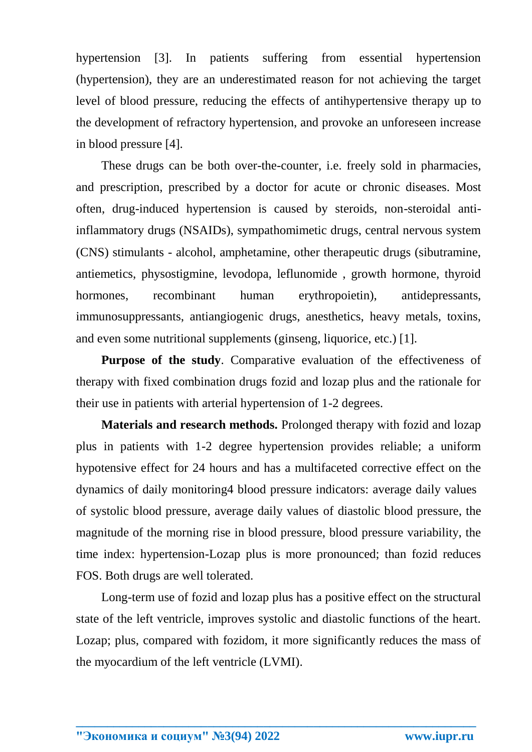hypertension [3]. In patients suffering from essential hypertension (hypertension), they are an underestimated reason for not achieving the target level of blood pressure, reducing the effects of antihypertensive therapy up to the development of refractory hypertension, and provoke an unforeseen increase in blood pressure [4].

These drugs can be both over-the-counter, i.e. freely sold in pharmacies, and prescription, prescribed by a doctor for acute or chronic diseases. Most often, drug-induced hypertension is caused by steroids, non-steroidal antiinflammatory drugs (NSAIDs), sympathomimetic drugs, central nervous system (CNS) stimulants - alcohol, amphetamine, other therapeutic drugs (sibutramine, antiemetics, physostigmine, levodopa, leflunomide , growth hormone, thyroid hormones, recombinant human erythropoietin), antidepressants, immunosuppressants, antiangiogenic drugs, anesthetics, heavy metals, toxins, and even some nutritional supplements (ginseng, liquorice, etc.) [1].

**Purpose of the study.** Comparative evaluation of the effectiveness of therapy with fixed combination drugs fozid and lozap plus and the rationale for their use in patients with arterial hypertension of 1-2 degrees.

**Materials and research methods.** Prolonged therapy with fozid and lozap plus in patients with 1-2 degree hypertension provides reliable; a uniform hypotensive effect for 24 hours and has a multifaceted corrective effect on the dynamics of daily monitoring4 blood pressure indicators: average daily values of systolic blood pressure, average daily values of diastolic blood pressure, the magnitude of the morning rise in blood pressure, blood pressure variability, the time index: hypertension-Lozap plus is more pronounced; than fozid reduces FOS. Both drugs are well tolerated.

Long-term use of fozid and lozap plus has a positive effect on the structural state of the left ventricle, improves systolic and diastolic functions of the heart. Lozap; plus, compared with fozidom, it more significantly reduces the mass of the myocardium of the left ventricle (LVMI).

**\_\_\_\_\_\_\_\_\_\_\_\_\_\_\_\_\_\_\_\_\_\_\_\_\_\_\_\_\_\_\_\_\_\_\_\_\_\_\_\_\_\_\_\_\_\_\_\_\_\_\_\_\_\_\_\_\_\_\_\_\_\_\_\_**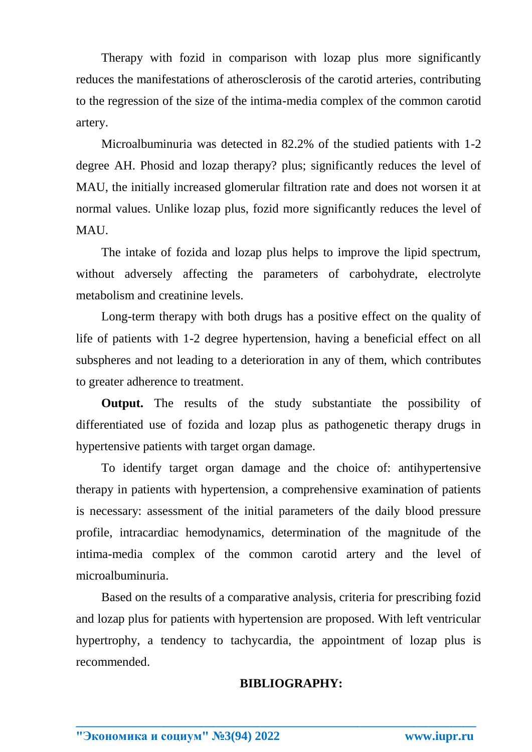Therapy with fozid in comparison with lozap plus more significantly reduces the manifestations of atherosclerosis of the carotid arteries, contributing to the regression of the size of the intima-media complex of the common carotid artery.

Microalbuminuria was detected in 82.2% of the studied patients with 1-2 degree AH. Phosid and lozap therapy? plus; significantly reduces the level of MAU, the initially increased glomerular filtration rate and does not worsen it at normal values. Unlike lozap plus, fozid more significantly reduces the level of MAU.

The intake of fozida and lozap plus helps to improve the lipid spectrum, without adversely affecting the parameters of carbohydrate, electrolyte metabolism and creatinine levels.

Long-term therapy with both drugs has a positive effect on the quality of life of patients with 1-2 degree hypertension, having a beneficial effect on all subspheres and not leading to a deterioration in any of them, which contributes to greater adherence to treatment.

**Output.** The results of the study substantiate the possibility of differentiated use of fozida and lozap plus as pathogenetic therapy drugs in hypertensive patients with target organ damage.

To identify target organ damage and the choice of: antihypertensive therapy in patients with hypertension, a comprehensive examination of patients is necessary: assessment of the initial parameters of the daily blood pressure profile, intracardiac hemodynamics, determination of the magnitude of the intima-media complex of the common carotid artery and the level of microalbuminuria.

Based on the results of a comparative analysis, criteria for prescribing fozid and lozap plus for patients with hypertension are proposed. With left ventricular hypertrophy, a tendency to tachycardia, the appointment of lozap plus is recommended.

**\_\_\_\_\_\_\_\_\_\_\_\_\_\_\_\_\_\_\_\_\_\_\_\_\_\_\_\_\_\_\_\_\_\_\_\_\_\_\_\_\_\_\_\_\_\_\_\_\_\_\_\_\_\_\_\_\_\_\_\_\_\_\_\_**

## **BIBLIOGRAPHY:**